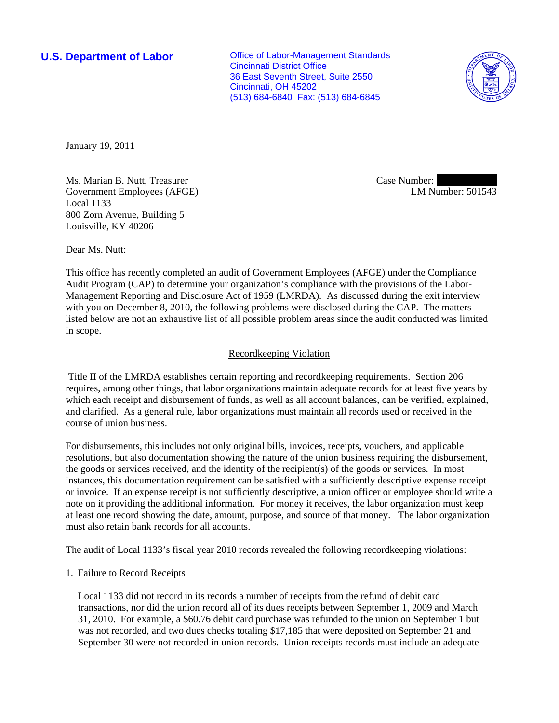**U.S. Department of Labor Conservative Conservative Conservative Conservative Conservative Conservative Conservative Conservative Conservative Conservative Conservative Conservative Conservative Conservative Conservative** Cincinnati District Office 36 East Seventh Street, Suite 2550 Cincinnati, OH 45202 (513) 684-6840 Fax: (513) 684-6845



January 19, 2011

Ms. Marian B. Nutt, Treasurer Government Employees (AFGE) Local 1133 800 Zorn Avenue, Building 5 Louisville, KY 40206

Case Number: LM Number: 501543

Dear Ms. Nutt:

This office has recently completed an audit of Government Employees (AFGE) under the Compliance Audit Program (CAP) to determine your organization's compliance with the provisions of the Labor-Management Reporting and Disclosure Act of 1959 (LMRDA). As discussed during the exit interview with you on December 8, 2010, the following problems were disclosed during the CAP. The matters listed below are not an exhaustive list of all possible problem areas since the audit conducted was limited in scope.

# Recordkeeping Violation

 Title II of the LMRDA establishes certain reporting and recordkeeping requirements. Section 206 requires, among other things, that labor organizations maintain adequate records for at least five years by which each receipt and disbursement of funds, as well as all account balances, can be verified, explained, and clarified. As a general rule, labor organizations must maintain all records used or received in the course of union business.

For disbursements, this includes not only original bills, invoices, receipts, vouchers, and applicable resolutions, but also documentation showing the nature of the union business requiring the disbursement, the goods or services received, and the identity of the recipient(s) of the goods or services. In most instances, this documentation requirement can be satisfied with a sufficiently descriptive expense receipt or invoice. If an expense receipt is not sufficiently descriptive, a union officer or employee should write a note on it providing the additional information. For money it receives, the labor organization must keep at least one record showing the date, amount, purpose, and source of that money. The labor organization must also retain bank records for all accounts.

The audit of Local 1133's fiscal year 2010 records revealed the following recordkeeping violations:

## 1. Failure to Record Receipts

Local 1133 did not record in its records a number of receipts from the refund of debit card transactions, nor did the union record all of its dues receipts between September 1, 2009 and March 31, 2010. For example, a \$60.76 debit card purchase was refunded to the union on September 1 but was not recorded, and two dues checks totaling \$17,185 that were deposited on September 21 and September 30 were not recorded in union records. Union receipts records must include an adequate